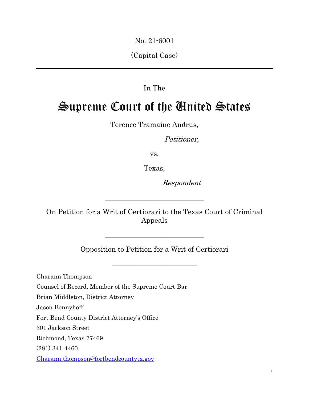No. 21-6001

(Capital Case)

# In The

# Supreme Court of the United States

Terence Tramaine Andrus,

Petitioner,

vs.

Texas,

Respondent

On Petition for a Writ of Certiorari to the Texas Court of Criminal Appeals

\_\_\_\_\_\_\_\_\_\_\_\_\_\_\_\_\_\_\_\_\_\_\_\_\_\_\_\_

Opposition to Petition for a Writ of Certiorari

\_\_\_\_\_\_\_\_\_\_\_\_\_\_\_\_\_\_\_\_\_\_\_\_\_\_\_\_

\_\_\_\_\_\_\_\_\_\_\_\_\_\_\_\_\_\_\_\_\_\_\_\_\_\_\_\_

Charann Thompson Counsel of Record, Member of the Supreme Court Bar Brian Middleton, District Attorney Jason Bennyhoff Fort Bend County District Attorney's Office 301 Jackson Street Richmond, Texas 77469 (281) 341-4460 [Charann.thompson@fortbendcountytx.gov](mailto:Charann.thompson@fortbendcountytx.gov)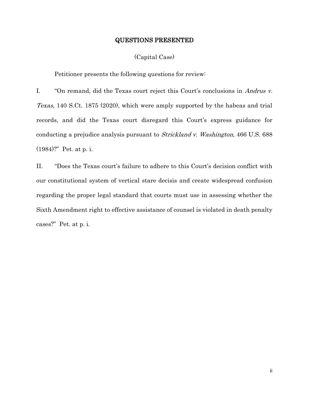#### QUESTIONS PRESENTED

#### (Capital Case)

Petitioner presents the following questions for review:

I. "On remand, did the Texas court reject this Court's conclusions in Andrus v. Texas, 140 S.Ct. 1875 (2020), which were amply supported by the habeas and trial records, and did the Texas court disregard this Court's express guidance for conducting a prejudice analysis pursuant to Strickland v. Washington, 466 U.S. 688 (1984)?" Pet. at p. i.

II. "Does the Texas court's failure to adhere to this Court's decision conflict with our constitutional system of vertical stare decisis and create widespread confusion regarding the proper legal standard that courts must use in assessing whether the Sixth Amendment right to effective assistance of counsel is violated in death penalty cases?" Pet. at p. i.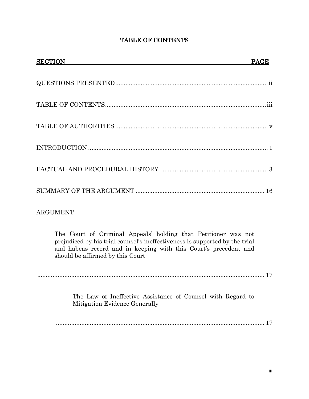# TABLE OF CONTENTS

| <b>SECTION</b>                                                                                                                                                                                                                                        | <b>PAGE</b> |
|-------------------------------------------------------------------------------------------------------------------------------------------------------------------------------------------------------------------------------------------------------|-------------|
|                                                                                                                                                                                                                                                       |             |
|                                                                                                                                                                                                                                                       |             |
|                                                                                                                                                                                                                                                       |             |
|                                                                                                                                                                                                                                                       |             |
|                                                                                                                                                                                                                                                       |             |
|                                                                                                                                                                                                                                                       |             |
| <b>ARGUMENT</b>                                                                                                                                                                                                                                       |             |
| The Court of Criminal Appeals' holding that Petitioner was not<br>prejudiced by his trial counsel's ineffectiveness is supported by the trial<br>and habeas record and in keeping with this Court's precedent and<br>should be affirmed by this Court |             |
| The Law of Ineffective Assistance of Counsel with Regard to<br>Mitigation Evidence Generally                                                                                                                                                          |             |

........................................................................................................................... 17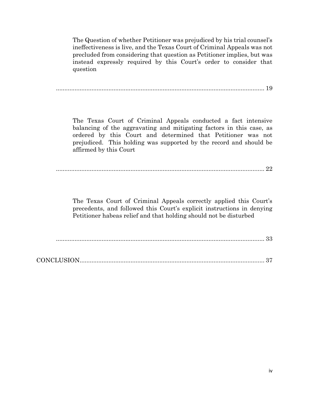The Question of whether Petitioner was prejudiced by his trial counsel's ineffectiveness is live, and the Texas Court of Criminal Appeals was not precluded from considering that question as Petitioner implies, but was instead expressly required by this Court's order to consider that question

........................................................................................................................... 19

The Texas Court of Criminal Appeals conducted a fact intensive balancing of the aggravating and mitigating factors in this case, as ordered by this Court and determined that Petitioner was not prejudiced. This holding was supported by the record and should be affirmed by this Court

........................................................................................................................... 22

The Texas Court of Criminal Appeals correctly applied this Court's precedents, and followed this Court's explicit instructions in denying Petitioner habeas relief and that holding should not be disturbed

........................................................................................................................... 33

|--|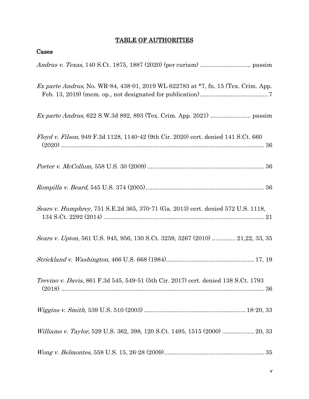# TABLE OF AUTHORITIES

Cases

| Ex parte Andrus, No. WR-84, 438-01, 2019 WL 622783 at *7, fn. 15 (Tex. Crim. App.  |
|------------------------------------------------------------------------------------|
|                                                                                    |
| Floyd v. Filson, 949 F.3d 1128, 1140-42 (9th Cir. 2020) cert. denied 141 S.Ct. 660 |
|                                                                                    |
|                                                                                    |
| Sears v. Humphrey, 751 S.E.2d 365, 370-71 (Ga. 2013) cert. denied 572 U.S. 1118,   |
| Sears v. Upton, 561 U.S. 945, 956, 130 S.Ct. 3259, 3267 (2010)  21,22, 33, 35      |
|                                                                                    |
| Trevino v. Davis, 861 F.3d 545, 549-51 (5th Cir. 2017) cert. denied 138 S.Ct. 1793 |
|                                                                                    |
| Williams v. Taylor, 529 U.S. 362, 398, 120 S.Ct. 1495, 1515 (2000)  20, 33         |
|                                                                                    |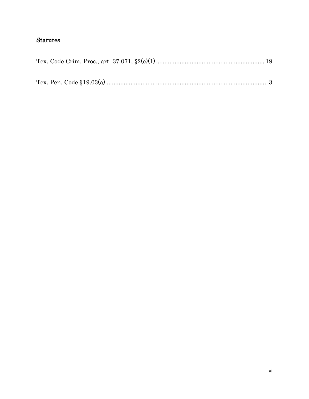# **Statutes**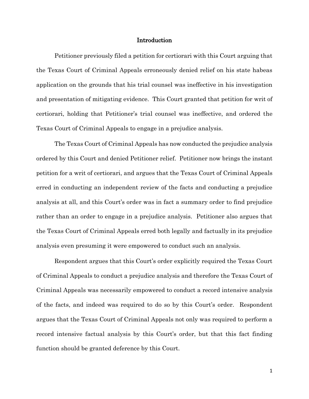#### Introduction

Petitioner previously filed a petition for certiorari with this Court arguing that the Texas Court of Criminal Appeals erroneously denied relief on his state habeas application on the grounds that his trial counsel was ineffective in his investigation and presentation of mitigating evidence. This Court granted that petition for writ of certiorari, holding that Petitioner's trial counsel was ineffective, and ordered the Texas Court of Criminal Appeals to engage in a prejudice analysis.

The Texas Court of Criminal Appeals has now conducted the prejudice analysis ordered by this Court and denied Petitioner relief. Petitioner now brings the instant petition for a writ of certiorari, and argues that the Texas Court of Criminal Appeals erred in conducting an independent review of the facts and conducting a prejudice analysis at all, and this Court's order was in fact a summary order to find prejudice rather than an order to engage in a prejudice analysis. Petitioner also argues that the Texas Court of Criminal Appeals erred both legally and factually in its prejudice analysis even presuming it were empowered to conduct such an analysis.

Respondent argues that this Court's order explicitly required the Texas Court of Criminal Appeals to conduct a prejudice analysis and therefore the Texas Court of Criminal Appeals was necessarily empowered to conduct a record intensive analysis of the facts, and indeed was required to do so by this Court's order. Respondent argues that the Texas Court of Criminal Appeals not only was required to perform a record intensive factual analysis by this Court's order, but that this fact finding function should be granted deference by this Court.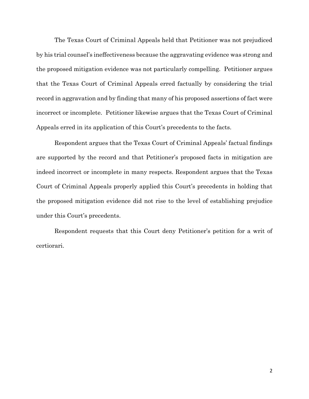The Texas Court of Criminal Appeals held that Petitioner was not prejudiced by his trial counsel's ineffectiveness because the aggravating evidence was strong and the proposed mitigation evidence was not particularly compelling. Petitioner argues that the Texas Court of Criminal Appeals erred factually by considering the trial record in aggravation and by finding that many of his proposed assertions of fact were incorrect or incomplete. Petitioner likewise argues that the Texas Court of Criminal Appeals erred in its application of this Court's precedents to the facts.

Respondent argues that the Texas Court of Criminal Appeals' factual findings are supported by the record and that Petitioner's proposed facts in mitigation are indeed incorrect or incomplete in many respects. Respondent argues that the Texas Court of Criminal Appeals properly applied this Court's precedents in holding that the proposed mitigation evidence did not rise to the level of establishing prejudice under this Court's precedents.

Respondent requests that this Court deny Petitioner's petition for a writ of certiorari.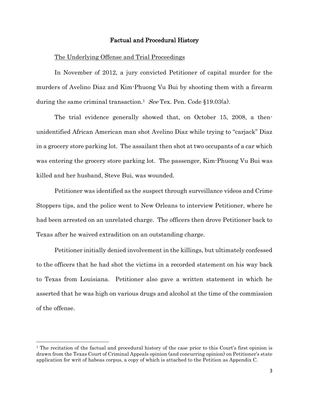#### Factual and Procedural History

#### The Underlying Offense and Trial Proceedings

In November of 2012, a jury convicted Petitioner of capital murder for the murders of Avelino Diaz and Kim-Phuong Vu Bui by shooting them with a firearm during the same criminal transaction.<sup>1</sup> See Tex. Pen. Code §19.03(a).

The trial evidence generally showed that, on October 15, 2008, a thenunidentified African American man shot Avelino Diaz while trying to "carjack" Diaz in a grocery store parking lot. The assailant then shot at two occupants of a car which was entering the grocery store parking lot. The passenger, Kim-Phuong Vu Bui was killed and her husband, Steve Bui, was wounded.

Petitioner was identified as the suspect through surveillance videos and Crime Stoppers tips, and the police went to New Orleans to interview Petitioner, where he had been arrested on an unrelated charge. The officers then drove Petitioner back to Texas after he waived extradition on an outstanding charge.

Petitioner initially denied involvement in the killings, but ultimately confessed to the officers that he had shot the victims in a recorded statement on his way back to Texas from Louisiana. Petitioner also gave a written statement in which he asserted that he was high on various drugs and alcohol at the time of the commission of the offense.

l

<sup>&</sup>lt;sup>1</sup> The recitation of the factual and procedural history of the case prior to this Court's first opinion is drawn from the Texas Court of Criminal Appeals opinion (and concurring opinion) on Petitioner's state application for writ of habeas corpus, a copy of which is attached to the Petition as Appendix C.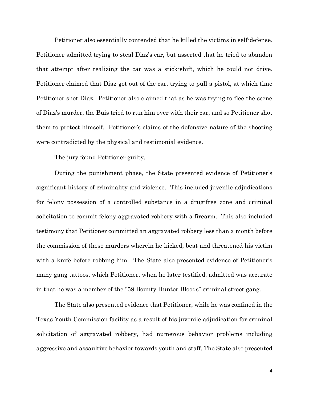Petitioner also essentially contended that he killed the victims in self-defense. Petitioner admitted trying to steal Diaz's car, but asserted that he tried to abandon that attempt after realizing the car was a stick-shift, which he could not drive. Petitioner claimed that Diaz got out of the car, trying to pull a pistol, at which time Petitioner shot Diaz. Petitioner also claimed that as he was trying to flee the scene of Diaz's murder, the Buis tried to run him over with their car, and so Petitioner shot them to protect himself. Petitioner's claims of the defensive nature of the shooting were contradicted by the physical and testimonial evidence.

The jury found Petitioner guilty.

During the punishment phase, the State presented evidence of Petitioner's significant history of criminality and violence. This included juvenile adjudications for felony possession of a controlled substance in a drug-free zone and criminal solicitation to commit felony aggravated robbery with a firearm. This also included testimony that Petitioner committed an aggravated robbery less than a month before the commission of these murders wherein he kicked, beat and threatened his victim with a knife before robbing him. The State also presented evidence of Petitioner's many gang tattoos, which Petitioner, when he later testified, admitted was accurate in that he was a member of the "59 Bounty Hunter Bloods" criminal street gang.

The State also presented evidence that Petitioner, while he was confined in the Texas Youth Commission facility as a result of his juvenile adjudication for criminal solicitation of aggravated robbery, had numerous behavior problems including aggressive and assaultive behavior towards youth and staff. The State also presented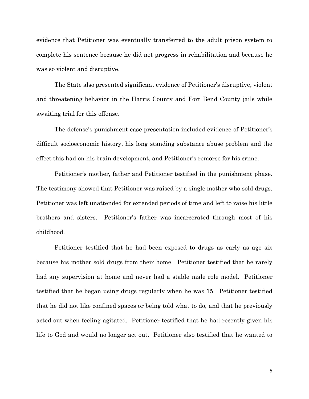evidence that Petitioner was eventually transferred to the adult prison system to complete his sentence because he did not progress in rehabilitation and because he was so violent and disruptive.

The State also presented significant evidence of Petitioner's disruptive, violent and threatening behavior in the Harris County and Fort Bend County jails while awaiting trial for this offense.

The defense's punishment case presentation included evidence of Petitioner's difficult socioeconomic history, his long standing substance abuse problem and the effect this had on his brain development, and Petitioner's remorse for his crime.

Petitioner's mother, father and Petitioner testified in the punishment phase. The testimony showed that Petitioner was raised by a single mother who sold drugs. Petitioner was left unattended for extended periods of time and left to raise his little brothers and sisters. Petitioner's father was incarcerated through most of his childhood.

Petitioner testified that he had been exposed to drugs as early as age six because his mother sold drugs from their home. Petitioner testified that he rarely had any supervision at home and never had a stable male role model. Petitioner testified that he began using drugs regularly when he was 15. Petitioner testified that he did not like confined spaces or being told what to do, and that he previously acted out when feeling agitated. Petitioner testified that he had recently given his life to God and would no longer act out. Petitioner also testified that he wanted to

5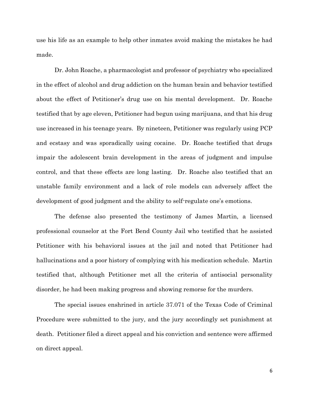use his life as an example to help other inmates avoid making the mistakes he had made.

Dr. John Roache, a pharmacologist and professor of psychiatry who specialized in the effect of alcohol and drug addiction on the human brain and behavior testified about the effect of Petitioner's drug use on his mental development. Dr. Roache testified that by age eleven, Petitioner had begun using marijuana, and that his drug use increased in his teenage years. By nineteen, Petitioner was regularly using PCP and ecstasy and was sporadically using cocaine. Dr. Roache testified that drugs impair the adolescent brain development in the areas of judgment and impulse control, and that these effects are long lasting. Dr. Roache also testified that an unstable family environment and a lack of role models can adversely affect the development of good judgment and the ability to self-regulate one's emotions.

The defense also presented the testimony of James Martin, a licensed professional counselor at the Fort Bend County Jail who testified that he assisted Petitioner with his behavioral issues at the jail and noted that Petitioner had hallucinations and a poor history of complying with his medication schedule. Martin testified that, although Petitioner met all the criteria of antisocial personality disorder, he had been making progress and showing remorse for the murders.

The special issues enshrined in article 37.071 of the Texas Code of Criminal Procedure were submitted to the jury, and the jury accordingly set punishment at death. Petitioner filed a direct appeal and his conviction and sentence were affirmed on direct appeal.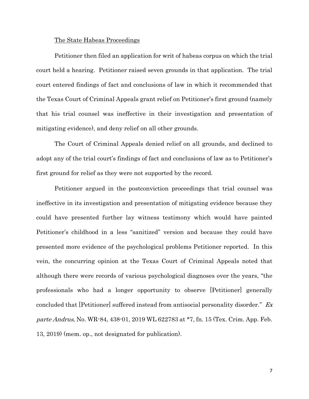#### The State Habeas Proceedings

Petitioner then filed an application for writ of habeas corpus on which the trial court held a hearing. Petitioner raised seven grounds in that application. The trial court entered findings of fact and conclusions of law in which it recommended that the Texas Court of Criminal Appeals grant relief on Petitioner's first ground (namely that his trial counsel was ineffective in their investigation and presentation of mitigating evidence), and deny relief on all other grounds.

The Court of Criminal Appeals denied relief on all grounds, and declined to adopt any of the trial court's findings of fact and conclusions of law as to Petitioner's first ground for relief as they were not supported by the record.

Petitioner argued in the postconviction proceedings that trial counsel was ineffective in its investigation and presentation of mitigating evidence because they could have presented further lay witness testimony which would have painted Petitioner's childhood in a less "sanitized" version and because they could have presented more evidence of the psychological problems Petitioner reported. In this vein, the concurring opinion at the Texas Court of Criminal Appeals noted that although there were records of various psychological diagnoses over the years, "the professionals who had a longer opportunity to observe [Petitioner] generally concluded that [Petitioner] suffered instead from antisocial personality disorder." Ex parte Andrus, No. WR-84, 438-01, 2019 WL 622783 at \*7, fn. 15 (Tex. Crim. App. Feb. 13, 2019) (mem. op., not designated for publication).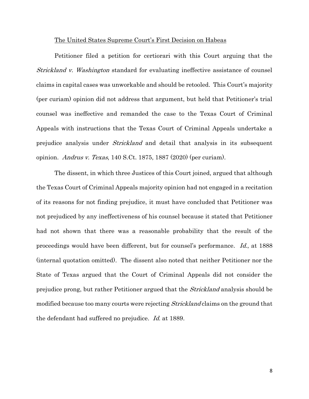#### The United States Supreme Court's First Decision on Habeas

Petitioner filed a petition for certiorari with this Court arguing that the Strickland v. Washington standard for evaluating ineffective assistance of counsel claims in capital cases was unworkable and should be retooled. This Court's majority (per curiam) opinion did not address that argument, but held that Petitioner's trial counsel was ineffective and remanded the case to the Texas Court of Criminal Appeals with instructions that the Texas Court of Criminal Appeals undertake a prejudice analysis under *Strickland* and detail that analysis in its subsequent opinion. Andrus v. Texas,  $140$  S.Ct. 1875, 1887 (2020) (per curiam).

The dissent, in which three Justices of this Court joined, argued that although the Texas Court of Criminal Appeals majority opinion had not engaged in a recitation of its reasons for not finding prejudice, it must have concluded that Petitioner was not prejudiced by any ineffectiveness of his counsel because it stated that Petitioner had not shown that there was a reasonable probability that the result of the proceedings would have been different, but for counsel's performance. Id., at 1888 (internal quotation omitted). The dissent also noted that neither Petitioner nor the State of Texas argued that the Court of Criminal Appeals did not consider the prejudice prong, but rather Petitioner argued that the *Strickland* analysis should be modified because too many courts were rejecting Strickland claims on the ground that the defendant had suffered no prejudice. Id. at 1889.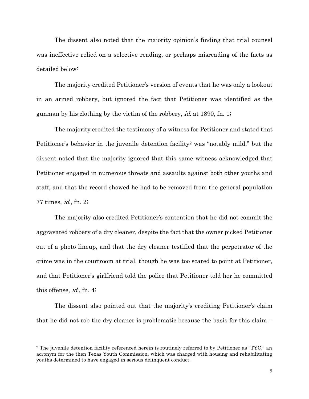The dissent also noted that the majority opinion's finding that trial counsel was ineffective relied on a selective reading, or perhaps misreading of the facts as detailed below:

The majority credited Petitioner's version of events that he was only a lookout in an armed robbery, but ignored the fact that Petitioner was identified as the gunman by his clothing by the victim of the robbery, *id.* at 1890, fn. 1;

The majority credited the testimony of a witness for Petitioner and stated that Petitioner's behavior in the juvenile detention facility<sup>2</sup> was "notably mild," but the dissent noted that the majority ignored that this same witness acknowledged that Petitioner engaged in numerous threats and assaults against both other youths and staff, and that the record showed he had to be removed from the general population 77 times, id., fn. 2;

The majority also credited Petitioner's contention that he did not commit the aggravated robbery of a dry cleaner, despite the fact that the owner picked Petitioner out of a photo lineup, and that the dry cleaner testified that the perpetrator of the crime was in the courtroom at trial, though he was too scared to point at Petitioner, and that Petitioner's girlfriend told the police that Petitioner told her he committed this offense, id., fn. 4;

The dissent also pointed out that the majority's crediting Petitioner's claim that he did not rob the dry cleaner is problematic because the basis for this claim –

l

<sup>2</sup> The juvenile detention facility referenced herein is routinely referred to by Petitioner as "TYC," an acronym for the then Texas Youth Commission, which was charged with housing and rehabilitating youths determined to have engaged in serious delinquent conduct.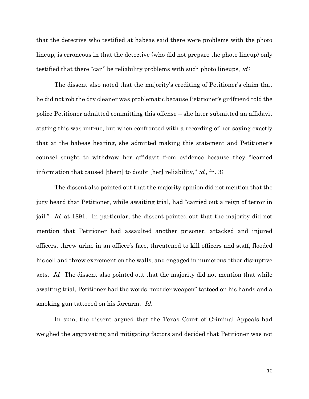that the detective who testified at habeas said there were problems with the photo lineup, is erroneous in that the detective (who did not prepare the photo lineup) only testified that there "can" be reliability problems with such photo lineups, *id.*;

The dissent also noted that the majority's crediting of Petitioner's claim that he did not rob the dry cleaner was problematic because Petitioner's girlfriend told the police Petitioner admitted committing this offense – she later submitted an affidavit stating this was untrue, but when confronted with a recording of her saying exactly that at the habeas hearing, she admitted making this statement and Petitioner's counsel sought to withdraw her affidavit from evidence because they "learned information that caused [them] to doubt [her] reliability," *id.*, fn. 3;

The dissent also pointed out that the majority opinion did not mention that the jury heard that Petitioner, while awaiting trial, had "carried out a reign of terror in jail." Id. at 1891. In particular, the dissent pointed out that the majority did not mention that Petitioner had assaulted another prisoner, attacked and injured officers, threw urine in an officer's face, threatened to kill officers and staff, flooded his cell and threw excrement on the walls, and engaged in numerous other disruptive acts. Id. The dissent also pointed out that the majority did not mention that while awaiting trial, Petitioner had the words "murder weapon" tattoed on his hands and a smoking gun tattooed on his forearm. Id.

In sum, the dissent argued that the Texas Court of Criminal Appeals had weighed the aggravating and mitigating factors and decided that Petitioner was not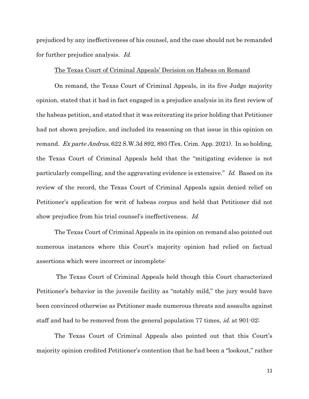prejudiced by any ineffectiveness of his counsel, and the case should not be remanded for further prejudice analysis. Id.

#### The Texas Court of Criminal Appeals' Decision on Habeas on Remand

On remand, the Texas Court of Criminal Appeals, in its five Judge majority opinion, stated that it had in fact engaged in a prejudice analysis in its first review of the habeas petition, and stated that it was reiterating its prior holding that Petitioner had not shown prejudice, and included its reasoning on that issue in this opinion on remand. Ex parte Andrus,  $622$  S.W.3d  $892$ ,  $893$  (Tex. Crim. App. 2021). In so holding, the Texas Court of Criminal Appeals held that the "mitigating evidence is not particularly compelling, and the aggravating evidence is extensive." Id. Based on its review of the record, the Texas Court of Criminal Appeals again denied relief on Petitioner's application for writ of habeas corpus and held that Petitioner did not show prejudice from his trial counsel's ineffectiveness. *Id.* 

The Texas Court of Criminal Appeals in its opinion on remand also pointed out numerous instances where this Court's majority opinion had relied on factual assertions which were incorrect or incomplete:

The Texas Court of Criminal Appeals held though this Court characterized Petitioner's behavior in the juvenile facility as "notably mild," the jury would have been convinced otherwise as Petitioner made numerous threats and assaults against staff and had to be removed from the general population 77 times, *id.* at 901-02;

The Texas Court of Criminal Appeals also pointed out that this Court's majority opinion credited Petitioner's contention that he had been a "lookout," rather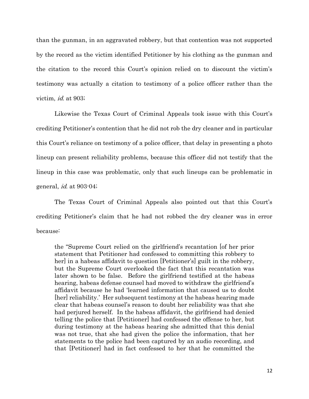than the gunman, in an aggravated robbery, but that contention was not supported by the record as the victim identified Petitioner by his clothing as the gunman and the citation to the record this Court's opinion relied on to discount the victim's testimony was actually a citation to testimony of a police officer rather than the victim, id. at 903;

Likewise the Texas Court of Criminal Appeals took issue with this Court's crediting Petitioner's contention that he did not rob the dry cleaner and in particular this Court's reliance on testimony of a police officer, that delay in presenting a photo lineup can present reliability problems, because this officer did not testify that the lineup in this case was problematic, only that such lineups can be problematic in general, id. at 903-04;

The Texas Court of Criminal Appeals also pointed out that this Court's crediting Petitioner's claim that he had not robbed the dry cleaner was in error because:

the "Supreme Court relied on the girlfriend's recantation [of her prior statement that Petitioner had confessed to committing this robbery to her] in a habeas affidavit to question [Petitioner's] guilt in the robbery, but the Supreme Court overlooked the fact that this recantation was later shown to be false. Before the girlfriend testified at the habeas hearing, habeas defense counsel had moved to withdraw the girlfriend's affidavit because he had 'learned information that caused us to doubt [her] reliability.' Her subsequent testimony at the habeas hearing made clear that habeas counsel's reason to doubt her reliability was that she had perjured herself. In the habeas affidavit, the girlfriend had denied telling the police that [Petitioner] had confessed the offense to her, but during testimony at the habeas hearing she admitted that this denial was not true, that she had given the police the information, that her statements to the police had been captured by an audio recording, and that [Petitioner] had in fact confessed to her that he committed the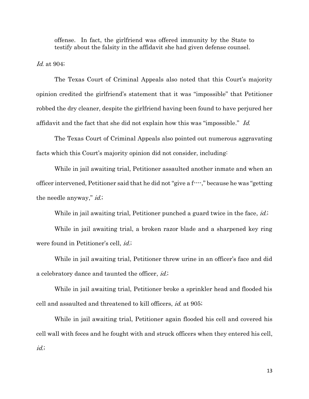offense. In fact, the girlfriend was offered immunity by the State to testify about the falsity in the affidavit she had given defense counsel.

*Id.* at 904;

The Texas Court of Criminal Appeals also noted that this Court's majority opinion credited the girlfriend's statement that it was "impossible" that Petitioner robbed the dry cleaner, despite the girlfriend having been found to have perjured her affidavit and the fact that she did not explain how this was "impossible." Id.

The Texas Court of Criminal Appeals also pointed out numerous aggravating facts which this Court's majority opinion did not consider, including:

While in jail awaiting trial, Petitioner assaulted another inmate and when an officer intervened, Petitioner said that he did not "give a f----," because he was "getting the needle anyway," *id.*;

While in jail awaiting trial, Petitioner punched a guard twice in the face, *id.*;

While in jail awaiting trial, a broken razor blade and a sharpened key ring were found in Petitioner's cell, *id.*;

While in jail awaiting trial, Petitioner threw urine in an officer's face and did a celebratory dance and taunted the officer, *id.*;

While in jail awaiting trial, Petitioner broke a sprinkler head and flooded his cell and assaulted and threatened to kill officers, id. at 905;

While in jail awaiting trial, Petitioner again flooded his cell and covered his cell wall with feces and he fought with and struck officers when they entered his cell, id.;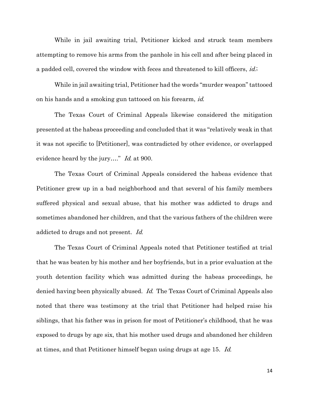While in jail awaiting trial, Petitioner kicked and struck team members attempting to remove his arms from the panhole in his cell and after being placed in a padded cell, covered the window with feces and threatened to kill officers, *id.*;

While in jail awaiting trial, Petitioner had the words "murder weapon" tattooed on his hands and a smoking gun tattooed on his forearm, id.

The Texas Court of Criminal Appeals likewise considered the mitigation presented at the habeas proceeding and concluded that it was "relatively weak in that it was not specific to [Petitioner], was contradicted by other evidence, or overlapped evidence heard by the jury...." *Id.* at 900.

The Texas Court of Criminal Appeals considered the habeas evidence that Petitioner grew up in a bad neighborhood and that several of his family members suffered physical and sexual abuse, that his mother was addicted to drugs and sometimes abandoned her children, and that the various fathers of the children were addicted to drugs and not present. Id.

The Texas Court of Criminal Appeals noted that Petitioner testified at trial that he was beaten by his mother and her boyfriends, but in a prior evaluation at the youth detention facility which was admitted during the habeas proceedings, he denied having been physically abused. Id. The Texas Court of Criminal Appeals also noted that there was testimony at the trial that Petitioner had helped raise his siblings, that his father was in prison for most of Petitioner's childhood, that he was exposed to drugs by age six, that his mother used drugs and abandoned her children at times, and that Petitioner himself began using drugs at age 15. Id.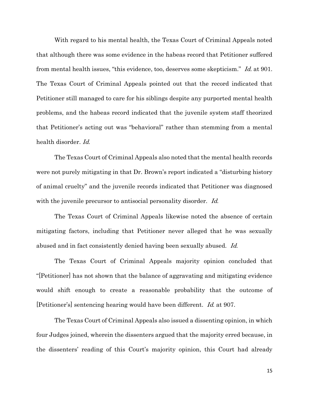With regard to his mental health, the Texas Court of Criminal Appeals noted that although there was some evidence in the habeas record that Petitioner suffered from mental health issues, "this evidence, too, deserves some skepticism." Id. at 901. The Texas Court of Criminal Appeals pointed out that the record indicated that Petitioner still managed to care for his siblings despite any purported mental health problems, and the habeas record indicated that the juvenile system staff theorized that Petitioner's acting out was "behavioral" rather than stemming from a mental health disorder. Id.

The Texas Court of Criminal Appeals also noted that the mental health records were not purely mitigating in that Dr. Brown's report indicated a "disturbing history of animal cruelty" and the juvenile records indicated that Petitioner was diagnosed with the juvenile precursor to antisocial personality disorder. Id.

The Texas Court of Criminal Appeals likewise noted the absence of certain mitigating factors, including that Petitioner never alleged that he was sexually abused and in fact consistently denied having been sexually abused. Id.

The Texas Court of Criminal Appeals majority opinion concluded that "[Petitioner] has not shown that the balance of aggravating and mitigating evidence would shift enough to create a reasonable probability that the outcome of [Petitioner's] sentencing hearing would have been different. Id. at 907.

The Texas Court of Criminal Appeals also issued a dissenting opinion, in which four Judges joined, wherein the dissenters argued that the majority erred because, in the dissenters' reading of this Court's majority opinion, this Court had already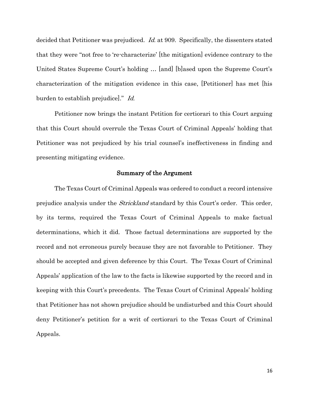decided that Petitioner was prejudiced. *Id.* at 909. Specifically, the dissenters stated that they were "not free to 're-characterize' [the mitigation] evidence contrary to the United States Supreme Court's holding … [and] [b]ased upon the Supreme Court's characterization of the mitigation evidence in this case, [Petitioner] has met [his burden to establish prejudice]." Id.

Petitioner now brings the instant Petition for certiorari to this Court arguing that this Court should overrule the Texas Court of Criminal Appeals' holding that Petitioner was not prejudiced by his trial counsel's ineffectiveness in finding and presenting mitigating evidence.

#### Summary of the Argument

 The Texas Court of Criminal Appeals was ordered to conduct a record intensive prejudice analysis under the *Strickland* standard by this Court's order. This order, by its terms, required the Texas Court of Criminal Appeals to make factual determinations, which it did. Those factual determinations are supported by the record and not erroneous purely because they are not favorable to Petitioner. They should be accepted and given deference by this Court. The Texas Court of Criminal Appeals' application of the law to the facts is likewise supported by the record and in keeping with this Court's precedents. The Texas Court of Criminal Appeals' holding that Petitioner has not shown prejudice should be undisturbed and this Court should deny Petitioner's petition for a writ of certiorari to the Texas Court of Criminal Appeals.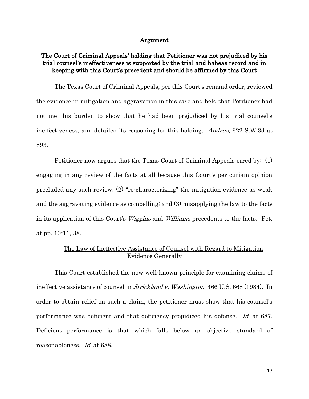#### Argument

## The Court of Criminal Appeals' holding that Petitioner was not prejudiced by his trial counsel's ineffectiveness is supported by the trial and habeas record and in keeping with this Court's precedent and should be affirmed by this Court

The Texas Court of Criminal Appeals, per this Court's remand order, reviewed the evidence in mitigation and aggravation in this case and held that Petitioner had not met his burden to show that he had been prejudiced by his trial counsel's ineffectiveness, and detailed its reasoning for this holding. Andrus, 622 S.W.3d at 893.

Petitioner now argues that the Texas Court of Criminal Appeals erred by: (1) engaging in any review of the facts at all because this Court's per curiam opinion precluded any such review; (2) "re-characterizing" the mitigation evidence as weak and the aggravating evidence as compelling; and (3) misapplying the law to the facts in its application of this Court's Wiggins and Williams precedents to the facts. Pet. at pp. 10-11, 38.

## The Law of Ineffective Assistance of Counsel with Regard to Mitigation Evidence Generally

This Court established the now well-known principle for examining claims of ineffective assistance of counsel in Strickland v. Washington, 466 U.S. 668 (1984). In order to obtain relief on such a claim, the petitioner must show that his counsel's performance was deficient and that deficiency prejudiced his defense. Id. at 687. Deficient performance is that which falls below an objective standard of reasonableness. Id. at 688.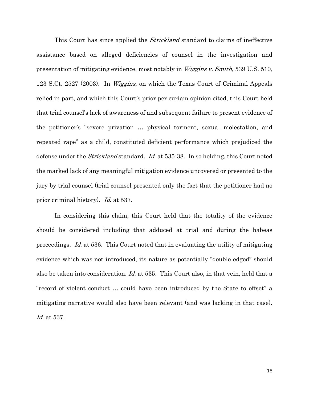This Court has since applied the *Strickland* standard to claims of ineffective assistance based on alleged deficiencies of counsel in the investigation and presentation of mitigating evidence, most notably in Wiggins v. Smith, 539 U.S. 510, 123 S.Ct. 2527 (2003). In *Wiggins*, on which the Texas Court of Criminal Appeals relied in part, and which this Court's prior per curiam opinion cited, this Court held that trial counsel's lack of awareness of and subsequent failure to present evidence of the petitioner's "severe privation … physical torment, sexual molestation, and repeated rape" as a child, constituted deficient performance which prejudiced the defense under the *Strickland* standard. *Id.* at 535-38. In so holding, this Court noted the marked lack of any meaningful mitigation evidence uncovered or presented to the jury by trial counsel (trial counsel presented only the fact that the petitioner had no prior criminal history). Id. at 537.

In considering this claim, this Court held that the totality of the evidence should be considered including that adduced at trial and during the habeas proceedings. Id. at 536. This Court noted that in evaluating the utility of mitigating evidence which was not introduced, its nature as potentially "double edged" should also be taken into consideration. Id. at 535. This Court also, in that vein, held that a "record of violent conduct … could have been introduced by the State to offset" a mitigating narrative would also have been relevant (and was lacking in that case). Id. at 537.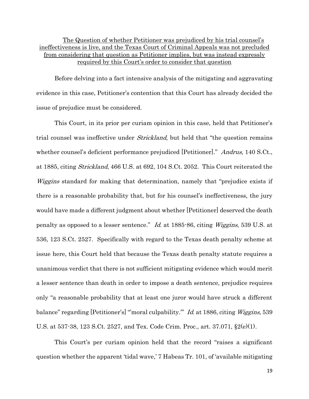The Question of whether Petitioner was prejudiced by his trial counsel's ineffectiveness is live, and the Texas Court of Criminal Appeals was not precluded from considering that question as Petitioner implies, but was instead expressly required by this Court's order to consider that question

Before delving into a fact intensive analysis of the mitigating and aggravating evidence in this case, Petitioner's contention that this Court has already decided the issue of prejudice must be considered.

This Court, in its prior per curiam opinion in this case, held that Petitioner's trial counsel was ineffective under *Strickland*, but held that "the question remains" whether counsel's deficient performance prejudiced [Petitioner]." *Andrus*, 140 S.Ct., at 1885, citing Strickland, 466 U.S. at 692, 104 S.Ct. 2052. This Court reiterated the Wiggins standard for making that determination, namely that "prejudice exists if there is a reasonable probability that, but for his counsel's ineffectiveness, the jury would have made a different judgment about whether [Petitioner] deserved the death penalty as opposed to a lesser sentence." Id. at 1885-86, citing Wiggins, 539 U.S. at 536, 123 S.Ct. 2527. Specifically with regard to the Texas death penalty scheme at issue here, this Court held that because the Texas death penalty statute requires a unanimous verdict that there is not sufficient mitigating evidence which would merit a lesser sentence than death in order to impose a death sentence, prejudice requires only "a reasonable probability that at least one juror would have struck a different balance" regarding [Petitioner's] "moral culpability." Id. at 1886, citing *Wiggins*, 539 U.S. at 537-38, 123 S.Ct. 2527, and Tex. Code Crim. Proc., art. 37.071, §2(e)(1).

This Court's per curiam opinion held that the record "raises a significant question whether the apparent 'tidal wave,' 7 Habeas Tr. 101, of 'available mitigating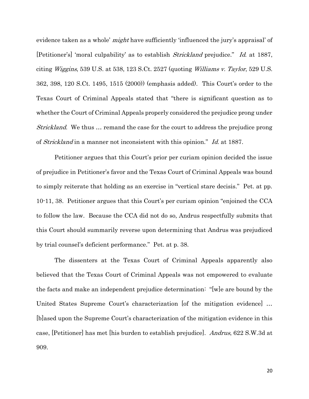evidence taken as a whole' *might* have sufficiently 'influenced the jury's appraisal' of [Petitioner's] 'moral culpability' as to establish *Strickland* prejudice." Id. at 1887, citing *Wiggins*, 539 U.S. at 538, 123 S.Ct. 2527 (quoting *Williams v. Taylor*, 529 U.S. 362, 398, 120 S.Ct. 1495, 1515 (2000)) (emphasis added). This Court's order to the Texas Court of Criminal Appeals stated that "there is significant question as to whether the Court of Criminal Appeals properly considered the prejudice prong under Strickland. We thus … remand the case for the court to address the prejudice prong of Strickland in a manner not inconsistent with this opinion." Id. at 1887.

Petitioner argues that this Court's prior per curiam opinion decided the issue of prejudice in Petitioner's favor and the Texas Court of Criminal Appeals was bound to simply reiterate that holding as an exercise in "vertical stare decisis." Pet. at pp. 10-11, 38. Petitioner argues that this Court's per curiam opinion "enjoined the CCA to follow the law. Because the CCA did not do so, Andrus respectfully submits that this Court should summarily reverse upon determining that Andrus was prejudiced by trial counsel's deficient performance." Pet. at p. 38.

The dissenters at the Texas Court of Criminal Appeals apparently also believed that the Texas Court of Criminal Appeals was not empowered to evaluate the facts and make an independent prejudice determination: "[w]e are bound by the United States Supreme Court's characterization [of the mitigation evidence] ... [b]ased upon the Supreme Court's characterization of the mitigation evidence in this case, [Petitioner] has met [his burden to establish prejudice]. Andrus, 622 S.W.3d at 909.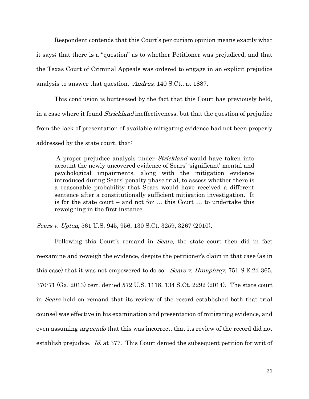Respondent contends that this Court's per curiam opinion means exactly what it says; that there is a "question" as to whether Petitioner was prejudiced, and that the Texas Court of Criminal Appeals was ordered to engage in an explicit prejudice analysis to answer that question. Andrus, 140 S.Ct., at 1887.

This conclusion is buttressed by the fact that this Court has previously held, in a case where it found *Strickland* ineffectiveness, but that the question of prejudice from the lack of presentation of available mitigating evidence had not been properly addressed by the state court, that:

A proper prejudice analysis under Strickland would have taken into account the newly uncovered evidence of Sears' 'significant' mental and psychological impairments, along with the mitigation evidence introduced during Sears' penalty phase trial, to assess whether there is a reasonable probability that Sears would have received a different sentence after a constitutionally sufficient mitigation investigation. It is for the state court – and not for … this Court … to undertake this reweighing in the first instance.

Sears v. Upton, 561 U.S. 945, 956, 130 S.Ct. 3259, 3267 (2010).

Following this Court's remand in *Sears*, the state court then did in fact reexamine and reweigh the evidence, despite the petitioner's claim in that case (as in this case) that it was not empowered to do so. Sears v. Humphrey, 751 S.E.2d 365, 370-71 (Ga. 2013) cert. denied 572 U.S. 1118, 134 S.Ct. 2292 (2014). The state court in Sears held on remand that its review of the record established both that trial counsel was effective in his examination and presentation of mitigating evidence, and even assuming *arguendo* that this was incorrect, that its review of the record did not establish prejudice. Id. at 377. This Court denied the subsequent petition for writ of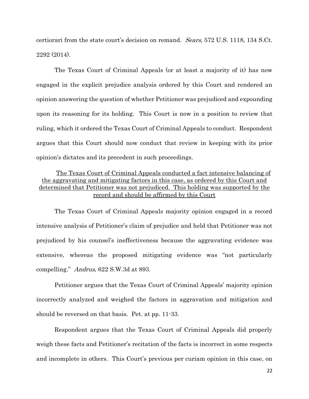certiorari from the state court's decision on remand. Sears, 572 U.S. 1118, 134 S.Ct. 2292 (2014).

The Texas Court of Criminal Appeals (or at least a majority of it) has now engaged in the explicit prejudice analysis ordered by this Court and rendered an opinion answering the question of whether Petitioner was prejudiced and expounding upon its reasoning for its holding. This Court is now in a position to review that ruling, which it ordered the Texas Court of Criminal Appeals to conduct. Respondent argues that this Court should now conduct that review in keeping with its prior opinion's dictates and its precedent in such proceedings.

## The Texas Court of Criminal Appeals conducted a fact intensive balancing of the aggravating and mitigating factors in this case, as ordered by this Court and determined that Petitioner was not prejudiced. This holding was supported by the record and should be affirmed by this Court

The Texas Court of Criminal Appeals majority opinion engaged in a record intensive analysis of Petitioner's claim of prejudice and held that Petitioner was not prejudiced by his counsel's ineffectiveness because the aggravating evidence was extensive, whereas the proposed mitigating evidence was "not particularly compelling." Andrus, 622 S.W.3d at 893.

Petitioner argues that the Texas Court of Criminal Appeals' majority opinion incorrectly analyzed and weighed the factors in aggravation and mitigation and should be reversed on that basis. Pet. at pp. 11-33.

Respondent argues that the Texas Court of Criminal Appeals did properly weigh these facts and Petitioner's recitation of the facts is incorrect in some respects and incomplete in others. This Court's previous per curiam opinion in this case, on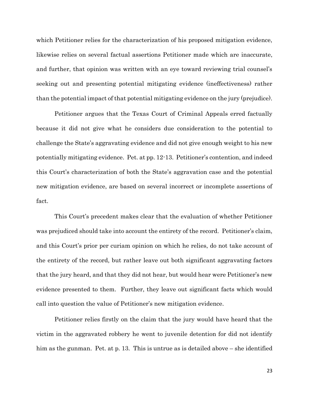which Petitioner relies for the characterization of his proposed mitigation evidence, likewise relies on several factual assertions Petitioner made which are inaccurate, and further, that opinion was written with an eye toward reviewing trial counsel's seeking out and presenting potential mitigating evidence (ineffectiveness) rather than the potential impact of that potential mitigating evidence on the jury (prejudice).

Petitioner argues that the Texas Court of Criminal Appeals erred factually because it did not give what he considers due consideration to the potential to challenge the State's aggravating evidence and did not give enough weight to his new potentially mitigating evidence. Pet. at pp. 12-13. Petitioner's contention, and indeed this Court's characterization of both the State's aggravation case and the potential new mitigation evidence, are based on several incorrect or incomplete assertions of fact.

This Court's precedent makes clear that the evaluation of whether Petitioner was prejudiced should take into account the entirety of the record. Petitioner's claim, and this Court's prior per curiam opinion on which he relies, do not take account of the entirety of the record, but rather leave out both significant aggravating factors that the jury heard, and that they did not hear, but would hear were Petitioner's new evidence presented to them. Further, they leave out significant facts which would call into question the value of Petitioner's new mitigation evidence.

Petitioner relies firstly on the claim that the jury would have heard that the victim in the aggravated robbery he went to juvenile detention for did not identify him as the gunman. Pet. at p. 13. This is untrue as is detailed above – she identified

23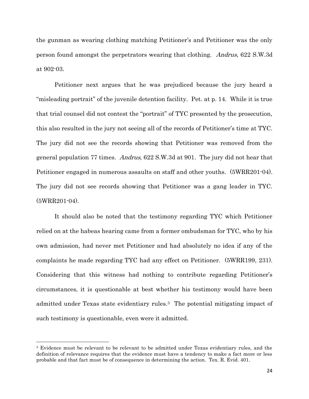the gunman as wearing clothing matching Petitioner's and Petitioner was the only person found amongst the perpetrators wearing that clothing. Andrus, 622 S.W.3d at 902-03.

Petitioner next argues that he was prejudiced because the jury heard a "misleading portrait" of the juvenile detention facility. Pet. at p. 14. While it is true that trial counsel did not contest the "portrait" of TYC presented by the prosecution, this also resulted in the jury not seeing all of the records of Petitioner's time at TYC. The jury did not see the records showing that Petitioner was removed from the general population 77 times. Andrus, 622 S.W.3d at 901. The jury did not hear that Petitioner engaged in numerous assaults on staff and other youths. (5WRR201-04). The jury did not see records showing that Petitioner was a gang leader in TYC. (5WRR201-04).

It should also be noted that the testimony regarding TYC which Petitioner relied on at the habeas hearing came from a former ombudsman for TYC, who by his own admission, had never met Petitioner and had absolutely no idea if any of the complaints he made regarding TYC had any effect on Petitioner. (5WRR199, 231). Considering that this witness had nothing to contribute regarding Petitioner's circumstances, it is questionable at best whether his testimony would have been admitted under Texas state evidentiary rules.3 The potential mitigating impact of such testimony is questionable, even were it admitted.

l

<sup>3</sup> Evidence must be relevant to be relevant to be admitted under Texas evidentiary rules, and the definition of relevance requires that the evidence must have a tendency to make a fact more or less probable and that fact must be of consequence in determining the action. Tex. R. Evid. 401.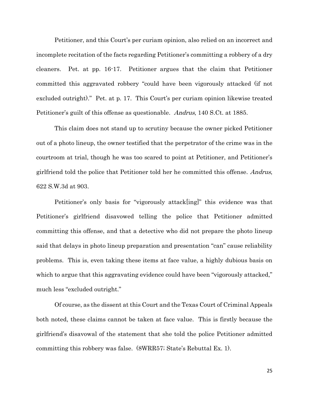Petitioner, and this Court's per curiam opinion, also relied on an incorrect and incomplete recitation of the facts regarding Petitioner's committing a robbery of a dry cleaners. Pet. at pp. 16-17. Petitioner argues that the claim that Petitioner committed this aggravated robbery "could have been vigorously attacked (if not excluded outright)." Pet. at p. 17. This Court's per curiam opinion likewise treated Petitioner's guilt of this offense as questionable. Andrus, 140 S.Ct. at 1885.

This claim does not stand up to scrutiny because the owner picked Petitioner out of a photo lineup, the owner testified that the perpetrator of the crime was in the courtroom at trial, though he was too scared to point at Petitioner, and Petitioner's girlfriend told the police that Petitioner told her he committed this offense. Andrus, 622 S.W.3d at 903.

Petitioner's only basis for "vigorously attack[ing]" this evidence was that Petitioner's girlfriend disavowed telling the police that Petitioner admitted committing this offense, and that a detective who did not prepare the photo lineup said that delays in photo lineup preparation and presentation "can" cause reliability problems. This is, even taking these items at face value, a highly dubious basis on which to argue that this aggravating evidence could have been "vigorously attacked," much less "excluded outright."

Of course, as the dissent at this Court and the Texas Court of Criminal Appeals both noted, these claims cannot be taken at face value. This is firstly because the girlfriend's disavowal of the statement that she told the police Petitioner admitted committing this robbery was false. (8WRR57; State's Rebuttal Ex. 1).

25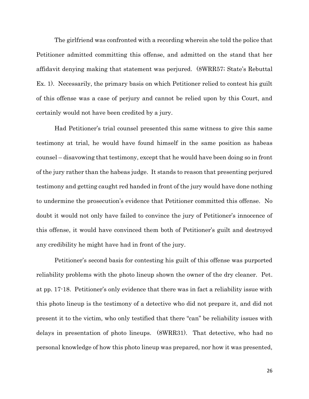The girlfriend was confronted with a recording wherein she told the police that Petitioner admitted committing this offense, and admitted on the stand that her affidavit denying making that statement was perjured. (8WRR57; State's Rebuttal Ex. 1). Necessarily, the primary basis on which Petitioner relied to contest his guilt of this offense was a case of perjury and cannot be relied upon by this Court, and certainly would not have been credited by a jury.

Had Petitioner's trial counsel presented this same witness to give this same testimony at trial, he would have found himself in the same position as habeas counsel – disavowing that testimony, except that he would have been doing so in front of the jury rather than the habeas judge. It stands to reason that presenting perjured testimony and getting caught red handed in front of the jury would have done nothing to undermine the prosecution's evidence that Petitioner committed this offense. No doubt it would not only have failed to convince the jury of Petitioner's innocence of this offense, it would have convinced them both of Petitioner's guilt and destroyed any credibility he might have had in front of the jury.

Petitioner's second basis for contesting his guilt of this offense was purported reliability problems with the photo lineup shown the owner of the dry cleaner. Pet. at pp. 17-18. Petitioner's only evidence that there was in fact a reliability issue with this photo lineup is the testimony of a detective who did not prepare it, and did not present it to the victim, who only testified that there "can" be reliability issues with delays in presentation of photo lineups. (8WRR31). That detective, who had no personal knowledge of how this photo lineup was prepared, nor how it was presented,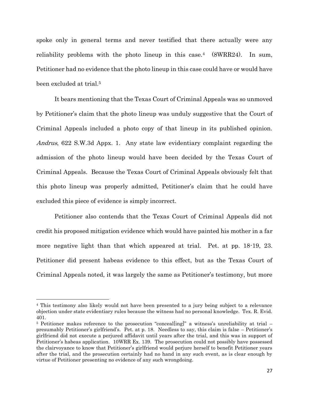spoke only in general terms and never testified that there actually were any reliability problems with the photo lineup in this case.4 (8WRR24). In sum, Petitioner had no evidence that the photo lineup in this case could have or would have been excluded at trial.<sup>5</sup>

It bears mentioning that the Texas Court of Criminal Appeals was so unmoved by Petitioner's claim that the photo lineup was unduly suggestive that the Court of Criminal Appeals included a photo copy of that lineup in its published opinion. Andrus, 622 S.W.3d Appx. 1. Any state law evidentiary complaint regarding the admission of the photo lineup would have been decided by the Texas Court of Criminal Appeals. Because the Texas Court of Criminal Appeals obviously felt that this photo lineup was properly admitted, Petitioner's claim that he could have excluded this piece of evidence is simply incorrect.

Petitioner also contends that the Texas Court of Criminal Appeals did not credit his proposed mitigation evidence which would have painted his mother in a far more negative light than that which appeared at trial. Pet. at pp. 18-19, 23. Petitioner did present habeas evidence to this effect, but as the Texas Court of Criminal Appeals noted, it was largely the same as Petitioner's testimony, but more

 $\overline{\phantom{a}}$ 

<sup>4</sup> This testimony also likely would not have been presented to a jury being subject to a relevance objection under state evidentiary rules because the witness had no personal knowledge. Tex. R. Evid. 401.

<sup>&</sup>lt;sup>5</sup> Petitioner makes reference to the prosecution "concealling]" a witness's unreliability at trial – presumably Petitioner's girlfriend's. Pet. at p. 18. Needless to say, this claim is false – Petitioner's girlfriend did not execute a perjured affidavit until years after the trial, and this was in support of Petitioner's habeas application. 10WRR Ex. 139. The prosecution could not possibly have possessed the clairvoyance to know that Petitioner's girlfriend would perjure herself to benefit Petitioner years after the trial, and the prosecution certainly had no hand in any such event, as is clear enough by virtue of Petitioner presenting no evidence of any such wrongdoing.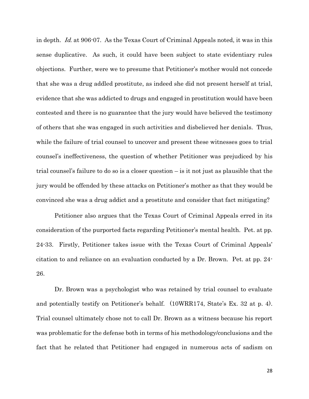in depth. Id. at 906-07. As the Texas Court of Criminal Appeals noted, it was in this sense duplicative. As such, it could have been subject to state evidentiary rules objections. Further, were we to presume that Petitioner's mother would not concede that she was a drug addled prostitute, as indeed she did not present herself at trial, evidence that she was addicted to drugs and engaged in prostitution would have been contested and there is no guarantee that the jury would have believed the testimony of others that she was engaged in such activities and disbelieved her denials. Thus, while the failure of trial counsel to uncover and present these witnesses goes to trial counsel's ineffectiveness, the question of whether Petitioner was prejudiced by his trial counsel's failure to do so is a closer question – is it not just as plausible that the jury would be offended by these attacks on Petitioner's mother as that they would be convinced she was a drug addict and a prostitute and consider that fact mitigating?

Petitioner also argues that the Texas Court of Criminal Appeals erred in its consideration of the purported facts regarding Petitioner's mental health. Pet. at pp. 24-33. Firstly, Petitioner takes issue with the Texas Court of Criminal Appeals' citation to and reliance on an evaluation conducted by a Dr. Brown. Pet. at pp. 24- 26.

Dr. Brown was a psychologist who was retained by trial counsel to evaluate and potentially testify on Petitioner's behalf. (10WRR174, State's Ex. 32 at p. 4). Trial counsel ultimately chose not to call Dr. Brown as a witness because his report was problematic for the defense both in terms of his methodology/conclusions and the fact that he related that Petitioner had engaged in numerous acts of sadism on

28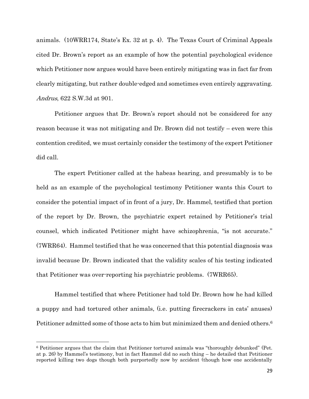animals. (10WRR174, State's Ex. 32 at p. 4). The Texas Court of Criminal Appeals cited Dr. Brown's report as an example of how the potential psychological evidence which Petitioner now argues would have been entirely mitigating was in fact far from clearly mitigating, but rather double-edged and sometimes even entirely aggravating. Andrus, 622 S.W.3d at 901.

Petitioner argues that Dr. Brown's report should not be considered for any reason because it was not mitigating and Dr. Brown did not testify – even were this contention credited, we must certainly consider the testimony of the expert Petitioner did call.

The expert Petitioner called at the habeas hearing, and presumably is to be held as an example of the psychological testimony Petitioner wants this Court to consider the potential impact of in front of a jury, Dr. Hammel, testified that portion of the report by Dr. Brown, the psychiatric expert retained by Petitioner's trial counsel, which indicated Petitioner might have schizophrenia, "is not accurate." (7WRR64). Hammel testified that he was concerned that this potential diagnosis was invalid because Dr. Brown indicated that the validity scales of his testing indicated that Petitioner was over-reporting his psychiatric problems. (7WRR65).

Hammel testified that where Petitioner had told Dr. Brown how he had killed a puppy and had tortured other animals, (i.e. putting firecrackers in cats' anuses) Petitioner admitted some of those acts to him but minimized them and denied others.<sup>6</sup>

l

<sup>6</sup> Petitioner argues that the claim that Petitioner tortured animals was "thoroughly debunked" (Pet. at p. 26) by Hammel's testimony, but in fact Hammel did no such thing – he detailed that Petitioner reported killing two dogs though both purportedly now by accident (though how one accidentally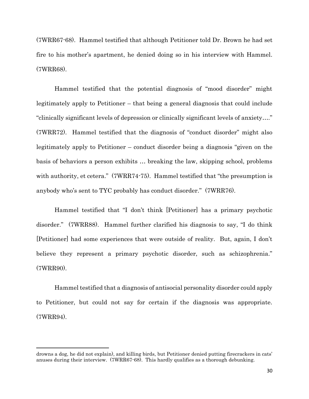(7WRR67-68). Hammel testified that although Petitioner told Dr. Brown he had set fire to his mother's apartment, he denied doing so in his interview with Hammel. (7WRR68).

Hammel testified that the potential diagnosis of "mood disorder" might legitimately apply to Petitioner – that being a general diagnosis that could include "clinically significant levels of depression or clinically significant levels of anxiety…." (7WRR72). Hammel testified that the diagnosis of "conduct disorder" might also legitimately apply to Petitioner – conduct disorder being a diagnosis "given on the basis of behaviors a person exhibits … breaking the law, skipping school, problems with authority, et cetera." (7WRR74-75). Hammel testified that "the presumption is anybody who's sent to TYC probably has conduct disorder." (7WRR76).

Hammel testified that "I don't think [Petitioner] has a primary psychotic disorder." (7WRR88). Hammel further clarified his diagnosis to say, "I do think [Petitioner] had some experiences that were outside of reality. But, again, I don't believe they represent a primary psychotic disorder, such as schizophrenia." (7WRR90).

Hammel testified that a diagnosis of antisocial personality disorder could apply to Petitioner, but could not say for certain if the diagnosis was appropriate. (7WRR94).

 $\overline{\phantom{a}}$ 

drowns a dog, he did not explain), and killing birds, but Petitioner denied putting firecrackers in cats' anuses during their interview. (7WRR67-68). This hardly qualifies as a thorough debunking.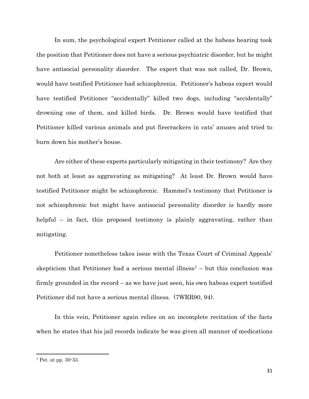In sum, the psychological expert Petitioner called at the habeas hearing took the position that Petitioner does not have a serious psychiatric disorder, but he might have antisocial personality disorder. The expert that was not called, Dr. Brown, would have testified Petitioner had schizophrenia. Petitioner's habeas expert would have testified Petitioner "accidentally" killed two dogs, including "accidentally" drowning one of them, and killed birds. Dr. Brown would have testified that Petitioner killed various animals and put firecrackers in cats' anuses and tried to burn down his mother's house.

Are either of these experts particularly mitigating in their testimony? Are they not both at least as aggravating as mitigating? At least Dr. Brown would have testified Petitioner might be schizophrenic. Hammel's testimony that Petitioner is not schizophrenic but might have antisocial personality disorder is hardly more helpful – in fact, this proposed testimony is plainly aggravating, rather than mitigating.

Petitioner nonetheless takes issue with the Texas Court of Criminal Appeals' skepticism that Petitioner had a serious mental illness<sup> $7$ </sup> – but this conclusion was firmly grounded in the record – as we have just seen, his own habeas expert testified Petitioner did not have a serious mental illness. (7WRR90, 94).

In this vein, Petitioner again relies on an incomplete recitation of the facts when he states that his jail records indicate he was given all manner of medications

 $\overline{\phantom{a}}$ 

<sup>7</sup> Pet. at pp. 30-33.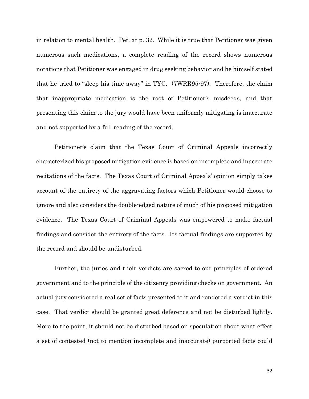in relation to mental health. Pet. at p. 32. While it is true that Petitioner was given numerous such medications, a complete reading of the record shows numerous notations that Petitioner was engaged in drug seeking behavior and he himself stated that he tried to "sleep his time away" in TYC. (7WRR95-97). Therefore, the claim that inappropriate medication is the root of Petitioner's misdeeds, and that presenting this claim to the jury would have been uniformly mitigating is inaccurate and not supported by a full reading of the record.

Petitioner's claim that the Texas Court of Criminal Appeals incorrectly characterized his proposed mitigation evidence is based on incomplete and inaccurate recitations of the facts. The Texas Court of Criminal Appeals' opinion simply takes account of the entirety of the aggravating factors which Petitioner would choose to ignore and also considers the double-edged nature of much of his proposed mitigation evidence. The Texas Court of Criminal Appeals was empowered to make factual findings and consider the entirety of the facts. Its factual findings are supported by the record and should be undisturbed.

Further, the juries and their verdicts are sacred to our principles of ordered government and to the principle of the citizenry providing checks on government. An actual jury considered a real set of facts presented to it and rendered a verdict in this case. That verdict should be granted great deference and not be disturbed lightly. More to the point, it should not be disturbed based on speculation about what effect a set of contested (not to mention incomplete and inaccurate) purported facts could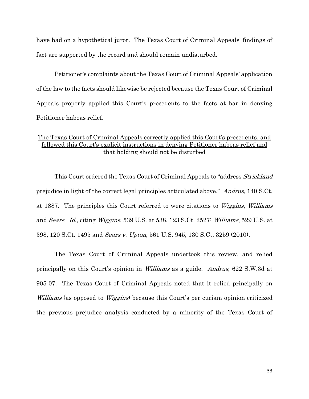have had on a hypothetical juror. The Texas Court of Criminal Appeals' findings of fact are supported by the record and should remain undisturbed.

Petitioner's complaints about the Texas Court of Criminal Appeals' application of the law to the facts should likewise be rejected because the Texas Court of Criminal Appeals properly applied this Court's precedents to the facts at bar in denying Petitioner habeas relief.

## The Texas Court of Criminal Appeals correctly applied this Court's precedents, and followed this Court's explicit instructions in denying Petitioner habeas relief and that holding should not be disturbed

This Court ordered the Texas Court of Criminal Appeals to "address *Strickland* prejudice in light of the correct legal principles articulated above." Andrus, 140 S.Ct. at 1887. The principles this Court referred to were citations to Wiggins, Williams and Sears. Id., citing Wiggins, 539 U.S. at 538, 123 S.Ct. 2527; Williams, 529 U.S. at 398, 120 S.Ct. 1495 and *Sears v. Upton*, 561 U.S. 945, 130 S.Ct. 3259 (2010).

The Texas Court of Criminal Appeals undertook this review, and relied principally on this Court's opinion in Williams as a guide. Andrus, 622 S.W.3d at 905-07. The Texas Court of Criminal Appeals noted that it relied principally on Williams (as opposed to *Wiggins*) because this Court's per curiam opinion criticized the previous prejudice analysis conducted by a minority of the Texas Court of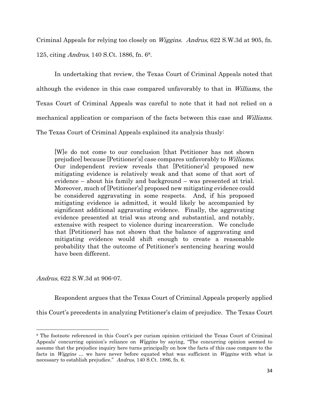Criminal Appeals for relying too closely on Wiggins. Andrus, 622 S.W.3d at 905, fn. 125, citing Andrus, 140 S.Ct. 1886, fn. 68.

In undertaking that review, the Texas Court of Criminal Appeals noted that although the evidence in this case compared unfavorably to that in Williams, the Texas Court of Criminal Appeals was careful to note that it had not relied on a mechanical application or comparison of the facts between this case and Williams. The Texas Court of Criminal Appeals explained its analysis thusly:

[W]e do not come to our conclusion [that Petitioner has not shown prejudice] because [Petitioner's] case compares unfavorably to Williams. Our independent review reveals that [Petitioner's] proposed new mitigating evidence is relatively weak and that some of that sort of evidence – about his family and background – was presented at trial. Moreover, much of [Petitioner's] proposed new mitigating evidence could be considered aggravating in some respects. And, if his proposed mitigating evidence is admitted, it would likely be accompanied by significant additional aggravating evidence. Finally, the aggravating evidence presented at trial was strong and substantial, and notably, extensive with respect to violence during incarceration. We conclude that [Petitioner] has not shown that the balance of aggravating and mitigating evidence would shift enough to create a reasonable probability that the outcome of Petitioner's sentencing hearing would have been different.

Andrus, 622 S.W.3d at 906-07.

l

Respondent argues that the Texas Court of Criminal Appeals properly applied

this Court's precedents in analyzing Petitioner's claim of prejudice. The Texas Court

<sup>&</sup>lt;sup>8</sup> The footnote referenced in this Court's per curiam opinion criticized the Texas Court of Criminal Appeals' concurring opinion's reliance on *Wiggins* by saying, "The concurring opinion seemed to assume that the prejudice inquiry here turns principally on how the facts of this case compare to the facts in *Wiggins* ... we have never before equated what was sufficient in *Wiggins* with what is necessary to establish prejudice." Andrus, 140 S.Ct. 1886, fn. 6.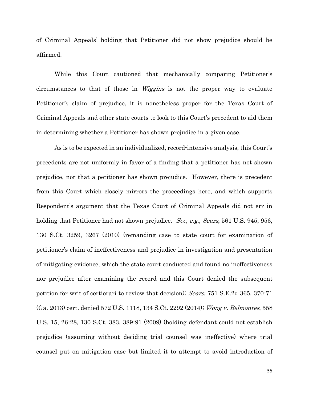of Criminal Appeals' holding that Petitioner did not show prejudice should be affirmed.

While this Court cautioned that mechanically comparing Petitioner's circumstances to that of those in Wiggins is not the proper way to evaluate Petitioner's claim of prejudice, it is nonetheless proper for the Texas Court of Criminal Appeals and other state courts to look to this Court's precedent to aid them in determining whether a Petitioner has shown prejudice in a given case.

As is to be expected in an individualized, record-intensive analysis, this Court's precedents are not uniformly in favor of a finding that a petitioner has not shown prejudice, nor that a petitioner has shown prejudice. However, there is precedent from this Court which closely mirrors the proceedings here, and which supports Respondent's argument that the Texas Court of Criminal Appeals did not err in holding that Petitioner had not shown prejudice. See, e.g., Sears, 561 U.S. 945, 956, 130 S.Ct. 3259, 3267 (2010) (remanding case to state court for examination of petitioner's claim of ineffectiveness and prejudice in investigation and presentation of mitigating evidence, which the state court conducted and found no ineffectiveness nor prejudice after examining the record and this Court denied the subsequent petition for writ of certiorari to review that decision); Sears, 751 S.E.2d 365, 370-71 (Ga. 2013) cert. denied 572 U.S. 1118, 134 S.Ct. 2292 (2014); Wong v. Belmontes, 558 U.S. 15, 26-28, 130 S.Ct. 383, 389-91 (2009) (holding defendant could not establish prejudice (assuming without deciding trial counsel was ineffective) where trial counsel put on mitigation case but limited it to attempt to avoid introduction of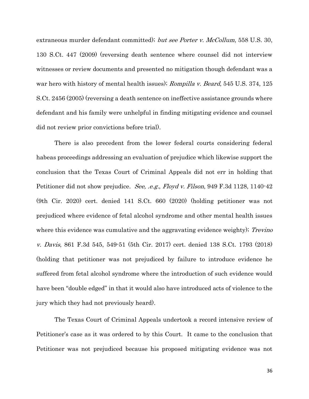extraneous murder defendant committed); but see Porter v. McCollum, 558 U.S. 30, 130 S.Ct. 447 (2009) (reversing death sentence where counsel did not interview witnesses or review documents and presented no mitigation though defendant was a war hero with history of mental health issues); *Rompilla v. Beard*, 545 U.S. 374, 125 S.Ct. 2456 (2005) (reversing a death sentence on ineffective assistance grounds where defendant and his family were unhelpful in finding mitigating evidence and counsel did not review prior convictions before trial).

There is also precedent from the lower federal courts considering federal habeas proceedings addressing an evaluation of prejudice which likewise support the conclusion that the Texas Court of Criminal Appeals did not err in holding that Petitioner did not show prejudice. See, .e.g., Floyd v. Filson, 949 F.3d 1128, 1140-42 (9th Cir. 2020) cert. denied 141 S.Ct. 660 (2020) (holding petitioner was not prejudiced where evidence of fetal alcohol syndrome and other mental health issues where this evidence was cumulative and the aggravating evidence weighty); Trevino v. Davis, 861 F.3d 545, 549-51 (5th Cir. 2017) cert. denied 138 S.Ct. 1793 (2018) (holding that petitioner was not prejudiced by failure to introduce evidence he suffered from fetal alcohol syndrome where the introduction of such evidence would have been "double edged" in that it would also have introduced acts of violence to the jury which they had not previously heard).

The Texas Court of Criminal Appeals undertook a record intensive review of Petitioner's case as it was ordered to by this Court. It came to the conclusion that Petitioner was not prejudiced because his proposed mitigating evidence was not